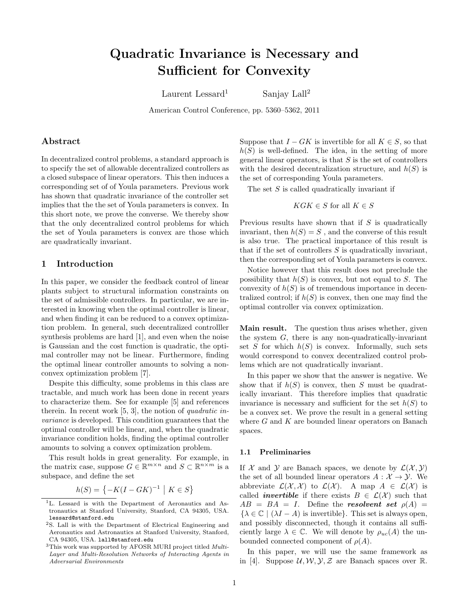# Quadratic Invariance is Necessary and Sufficient for Convexity

Laurent Lessard<sup>1</sup> Sanjay Lall<sup>2</sup>

American Control Conference, pp. 5360–5362, 2011

## Abstract

In decentralized control problems, a standard approach is to specify the set of allowable decentralized controllers as a closed subspace of linear operators. This then induces a corresponding set of of Youla parameters. Previous work has shown that quadratic invariance of the controller set implies that the the set of Youla parameters is convex. In this short note, we prove the converse. We thereby show that the only decentralized control problems for which the set of Youla parameters is convex are those which are quadratically invariant.

## 1 Introduction

In this paper, we consider the feedback control of linear plants subject to structural information constraints on the set of admissible controllers. In particular, we are interested in knowing when the optimal controller is linear, and when finding it can be reduced to a convex optimization problem. In general, such decentralized controlller synthesis problems are hard [\[1\]](#page-2-0), and even when the noise is Gaussian and the cost function is quadratic, the optimal controller may not be linear. Furthermore, finding the optimal linear controller amounts to solving a nonconvex optimization problem [\[7\]](#page-2-1).

Despite this difficulty, some problems in this class are tractable, and much work has been done in recent years to characterize them. See for example [\[5\]](#page-2-2) and references therein. In recent work [\[5,](#page-2-2) [3\]](#page-2-3), the notion of quadratic invariance is developed. This condition guarantees that the optimal controller will be linear, and, when the quadratic invariance condition holds, finding the optimal controller amounts to solving a convex optimization problem.

This result holds in great generality. For example, in the matrix case, suppose  $G \in \mathbb{R}^{m \times n}$  and  $S \subset \mathbb{R}^{n \times m}$  is a subspace, and define the set

$$
h(S) = \left\{-K(I - GK)^{-1} \mid K \in S\right\}
$$

Suppose that  $I - GK$  is invertible for all  $K \in S$ , so that  $h(S)$  is well-defined. The idea, in the setting of more general linear operators, is that  $S$  is the set of controllers with the desired decentralization structure, and  $h(S)$  is the set of corresponding Youla parameters.

The set  $S$  is called quadratically invariant if

$$
KGK \in S \text{ for all } K \in S
$$

Previous results have shown that if  $S$  is quadratically invariant, then  $h(S) = S$ , and the converse of this result is also true. The practical importance of this result is that if the set of controllers  $S$  is quadratically invariant, then the corresponding set of Youla parameters is convex.

Notice however that this result does not preclude the possibility that  $h(S)$  is convex, but not equal to S. The convexity of  $h(S)$  is of tremendous importance in decentralized control; if  $h(S)$  is convex, then one may find the optimal controller via convex optimization.

Main result. The question thus arises whether, given the system  $G$ , there is any non-quadratically-invariant set S for which  $h(S)$  is convex. Informally, such sets would correspond to convex decentralized control problems which are not quadratically invariant.

In this paper we show that the answer is negative. We show that if  $h(S)$  is convex, then S must be quadratically invariant. This therefore implies that quadratic invariance is necessary and sufficient for the set  $h(S)$  to be a convex set. We prove the result in a general setting where  $G$  and  $K$  are bounded linear operators on Banach spaces.

#### 1.1 Preliminaries

If X and Y are Banach spaces, we denote by  $\mathcal{L}(\mathcal{X}, \mathcal{Y})$ the set of all bounded linear operators  $A: \mathcal{X} \to \mathcal{Y}$ . We abbreviate  $\mathcal{L}(\mathcal{X}, \mathcal{X})$  to  $\mathcal{L}(\mathcal{X})$ . A map  $A \in \mathcal{L}(\mathcal{X})$  is called *invertible* if there exists  $B \in \mathcal{L}(\mathcal{X})$  such that  $AB = BA = I$ . Define the resolvent set  $\rho(A) =$  $\{\lambda \in \mathbb{C} \mid (\lambda I - A)$  is invertible}. This set is always open, and possibly disconnected, though it contains all sufficiently large  $\lambda \in \mathbb{C}$ . We will denote by  $\rho_{uc}(A)$  the unbounded connected component of  $\rho(A)$ .

In this paper, we will use the same framework as in [\[4\]](#page-2-4). Suppose  $U, W, Y, Z$  are Banach spaces over R.

<sup>&</sup>lt;sup>1</sup>L. Lessard is with the Department of Aeronautics and Astronautics at Stanford University, Stanford, CA 94305, USA. lessard@stanford.edu

<sup>2</sup>S. Lall is with the Department of Electrical Engineering and Aeronautics and Astronautics at Stanford University, Stanford, CA 94305, USA. lall@stanford.edu

<sup>&</sup>lt;sup>3</sup>This work was supported by AFOSR MURI project titled *Multi*-Layer and Multi-Resolution Networks of Interacting Agents in Adversarial Environments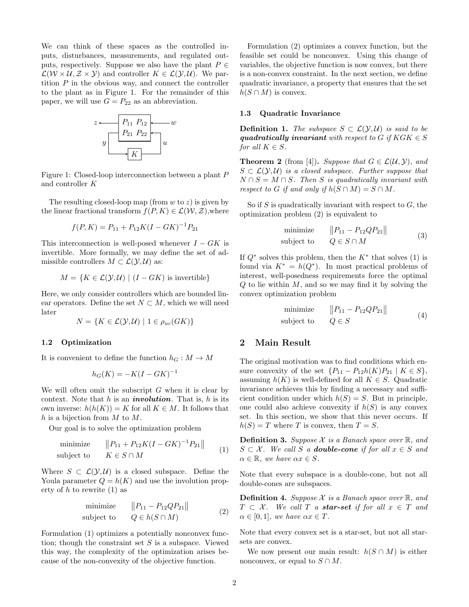We can think of these spaces as the controlled inputs, disturbances, measurements, and regulated outputs, respectively. Suppose we also have the plant  $P \in$  $\mathcal{L}(\mathcal{W}\times\mathcal{U},\mathcal{Z}\times\mathcal{Y})$  and controller  $K\in\mathcal{L}(\mathcal{Y},\mathcal{U})$ . We partition  $P$  in the obvious way, and connect the controller to the plant as in Figure [1.](#page-1-0) For the remainder of this paper, we will use  $G = P_{22}$  as an abbreviation.



<span id="page-1-0"></span>Figure 1: Closed-loop interconnection between a plant P and controller K

The resulting closed-loop map (from  $w$  to  $z$ ) is given by the linear fractional transform  $f(P, K) \in \mathcal{L}(\mathcal{W}, \mathcal{Z})$ , where

$$
f(P, K) = P_{11} + P_{12}K(I - GK)^{-1}P_{21}
$$

This interconnection is well-posed whenever  $I - GK$  is invertible. More formally, we may define the set of admissible controllers  $M \subset \mathcal{L}(\mathcal{Y}, \mathcal{U})$  as:

$$
M = \{ K \in \mathcal{L}(\mathcal{Y}, \mathcal{U}) \mid (I - GK) \text{ is invertible} \}
$$

Here, we only consider controllers which are bounded linear operators. Define the set  $N \subset M$ , which we will need later

$$
N = \{ K \in \mathcal{L}(\mathcal{Y}, \mathcal{U}) \mid 1 \in \rho_{uc}(GK) \}
$$

#### 1.2 Optimization

It is convenient to define the function  $h_G : M \to M$ 

$$
h_G(K) = -K(I - GK)^{-1}
$$

We will often omit the subscript  $G$  when it is clear by context. Note that  $h$  is an *involution*. That is,  $h$  is its own inverse:  $h(h(K)) = K$  for all  $K \in M$ . It follows that  $h$  is a bijection from  $M$  to  $M$ .

Our goal is to solve the optimization problem

<span id="page-1-1"></span>
$$
\begin{array}{ll}\text{minimize} & \|P_{11} + P_{12}K(I - GK)^{-1}P_{21}\|\\ \text{subject to} & K \in S \cap M \end{array} \tag{1}
$$

Where  $S \subset \mathcal{L}(\mathcal{Y}, \mathcal{U})$  is a closed subspace. Define the Youla parameter  $Q = h(K)$  and use the involution property of  $h$  to rewrite  $(1)$  as

<span id="page-1-2"></span>
$$
\begin{array}{ll}\text{minimize} & \|P_{11} - P_{12} Q P_{21}\|\\ \text{subject to} & Q \in h(S \cap M) \end{array} \tag{2}
$$

Formulation [\(1\)](#page-1-1) optimizes a potentially nonconvex function; though the constraint set  $S$  is a subspace. Viewed this way, the complexity of the optimization arises because of the non-convexity of the objective function.

Formulation [\(2\)](#page-1-2) optimizes a convex function, but the feasible set could be nonconvex. Using this change of variables, the objective function is now convex, but there is a non-convex constraint. In the next section, we define quadratic invariance, a property that ensures that the set  $h(S \cap M)$  is convex.

#### 1.3 Quadratic Invariance

**Definition 1.** The subspace  $S \subset \mathcal{L}(\mathcal{Y}, \mathcal{U})$  is said to be quadratically invariant with respect to G if  $KGK \in S$ for all  $K \in S$ .

<span id="page-1-3"></span>**Theorem 2** (from [\[4\]](#page-2-4)). Suppose that  $G \in \mathcal{L}(\mathcal{U}, \mathcal{Y})$ , and  $S \subset \mathcal{L}(\mathcal{Y}, \mathcal{U})$  is a closed subspace. Further suppose that  $N \cap S = M \cap S$ . Then S is quadratically invariant with respect to G if and only if  $h(S \cap M) = S \cap M$ .

So if  $S$  is quadratically invariant with respect to  $G$ , the optimization problem [\(2\)](#page-1-2) is equivalent to

$$
\begin{array}{ll}\text{minimize} & \|P_{11} - P_{12} Q P_{21} \|\\ \text{subject to} & Q \in S \cap M \end{array} \tag{3}
$$

If  $Q^*$  solves this problem, then the  $K^*$  that solves [\(1\)](#page-1-1) is found via  $K^* = h(Q^*)$ . In most practical problems of interest, well-posedness requirements force the optimal  $Q$  to lie within  $M$ , and so we may find it by solving the convex optimization problem

$$
\begin{array}{ll}\text{minimize} & \|P_{11} - P_{12} Q P_{21} \|\\ \text{subject to} & Q \in S \end{array} \tag{4}
$$

# 2 Main Result

The original motivation was to find conditions which ensure convexity of the set  $\{P_{11} - P_{12}h(K)P_{21} \mid K \in S\},\$ assuming  $h(K)$  is well-defined for all  $K \in S$ . Quadratic invariance achieves this by finding a necessary and sufficient condition under which  $h(S) = S$ . But in principle, one could also achieve convexity if  $h(S)$  is any convex set. In this section, we show that this never occurs. If  $h(S) = T$  where T is convex, then  $T = S$ .

**Definition 3.** Suppose  $\mathcal X$  is a Banach space over  $\mathbb R$ , and  $S \subset \mathcal{X}$ . We call S a **double-cone** if for all  $x \in S$  and  $\alpha \in \mathbb{R}$ , we have  $\alpha x \in S$ .

Note that every subspace is a double-cone, but not all double-cones are subspaces.

**Definition 4.** Suppose  $\mathcal X$  is a Banach space over  $\mathbb R$ , and  $T \subset \mathcal{X}$ . We call T a **star-set** if for all  $x \in T$  and  $\alpha \in [0,1]$ , we have  $\alpha x \in T$ .

Note that every convex set is a star-set, but not all starsets are convex.

We now present our main result:  $h(S \cap M)$  is either nonconvex, or equal to  $S \cap M$ .